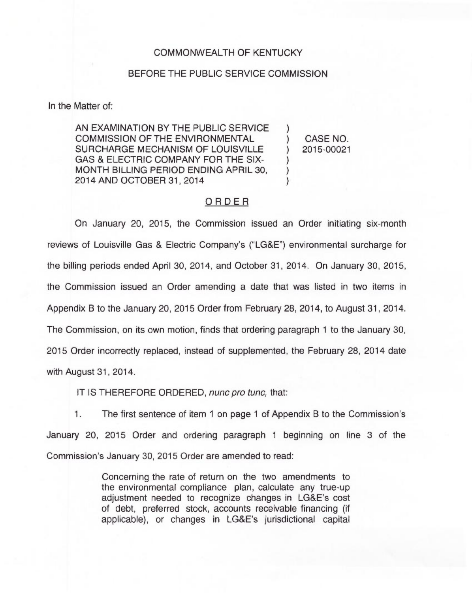## COMMONWEALTH OF KENTUCKY

## BEFORE THE PUBLIC SERVICE COMMISSION

In the Matter of:

AN EXAMINATION BY THE PUBLIC SERVICE COMMISSION OF THE ENVIRONMENTAL SURCHARGE MECHANISM OF LOUISVILLE GAS 8 ELECTRIC COMPANY FOR THE SIX-MONTH BILLING PERIOD ENDING APRIL 30, 2014 AND OCTOBER 31, 2014

) CASE NO. ) 2015-00021

)

) ) )

## ORDER

On January 20, 2015, the Commission issued an Order initiating six-month reviews of Louisville Gas & Electric Company's ("LG&E") environmental surcharge for the billing periods ended April 30, 2014, and October 31, 2014. On January 30, 2015, the Commission issued an Order amending a date that was listed in two items in Appendix B to the January 20, 2015 Order from February 28, 2014, to August 31, 2014. The Commission, on its own motion, finds that ordering paragraph <sup>1</sup> to the January 30, 2015 Order incorrectly replaced, instead of supplemented, the February 28, 2014 date with August 31, 2014.

IT IS THEREFORE ORDERED, nunc pro tunc, that:

1. The first sentence of item <sup>1</sup> on page <sup>1</sup> of Appendix B to the Commission's January 20, 2015 Order and ordering paragraph <sup>1</sup> beginning on line 3 of the Commission's January 30, 2015 Order are amended to read:

> Concerning the rate of return on the two amendments to the environmental compliance plan, calculate any true-up adjustment needed to recognize changes in LG&E's cost of debt, preferred stock, accounts receivable financing (if applicable), or changes in LG&E's jurisdictional capital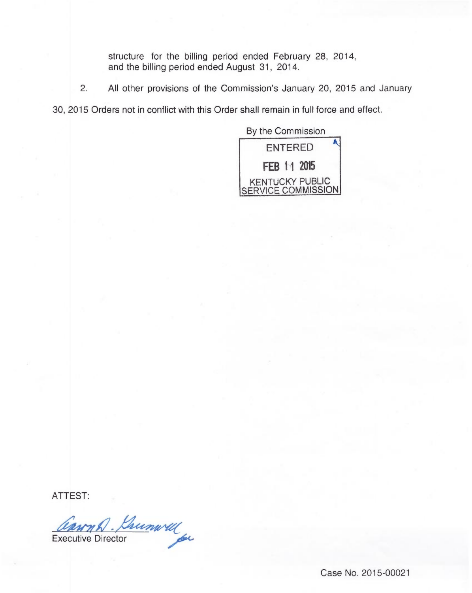structure for the billing period ended February 28, 2014, and the billing period ended August 31, 2014.

2. All other provisions of the Commission's January 20, 2015 and January

30, 2015 Orders not in conflict with this Order shall remain in full force and effect.

By the Commission ENTERED FEB 11 2015 KENTUCKY PUBLIC SERVICE COMMISSION

ATTEST:

Cannon Dumwell

Case No. 2015-00021